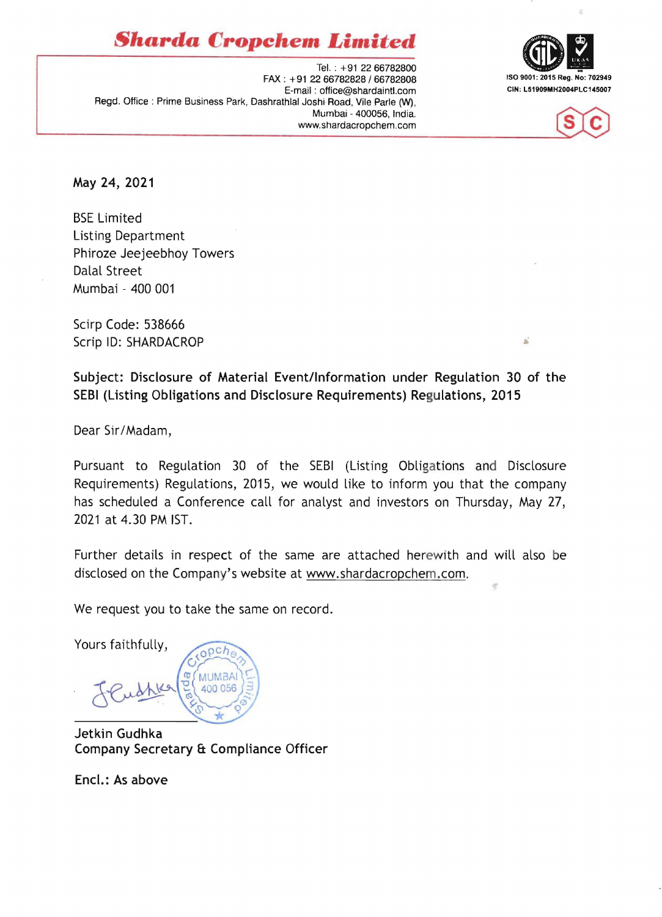*Sharda* **Cropchem** *Limited* 





Tel. : +91 2266782800 FAX: +91 22 66782828/66782808 ISO 9001: 2015 Reg. No: 702949 E-mail: office@shardaintl.com Regd. Office: Prime Business Park, Dashrathlal Joshi Road, Vile Parle (W), Mumbai - 400056, India. www.shardacropchem.com

May 24, 2021

BSE Limited Listing Department Phiroze Jeejeebhoy Towers Dalal Street Mumbai - 400 001

Scirp Code: 538666 Scrip ID: SHARDACROP

Subject: Disclosure of Material Event/Information under Regulation 30 of the SEBI (Listing Obligations and Disclosure Requirements) Regulations, 2015

Dear Sir/Madam,

Pursuant to Regulation 30 of the SEBI (Listing Obligations and Disclosure Requirements) Regulations, 2015, we would like to inform you that the company has scheduled a Conference call for analyst and investors on Thursday, May 27, 2021 at 4.30 PM 1ST.

Further details in respect of the same are attached herewith and will also be disclosed on the Company's website at www.shardacropchem.com.

We request you to take the same on record.

Yours faithfully,

 $och$ **MUMBA** 400 056

Jetkin Gudhka Company Secretary & Compliance Officer

Encl.: As above